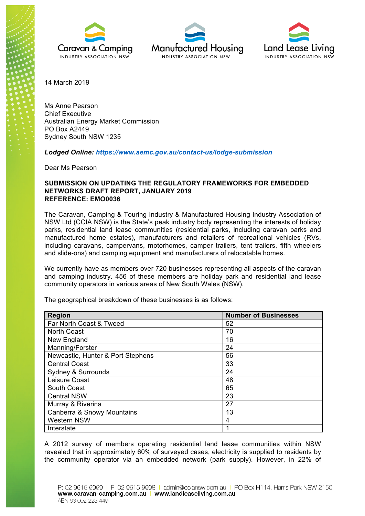





14 March 2019

Ms Anne Pearson Chief Executive Australian Energy Market Commission PO Box A2449 Sydney South NSW 1235

*Lodged Online: https://www.aemc.gov.au/contact-us/lodge-submission*

Dear Ms Pearson

## **SUBMISSION ON UPDATING THE REGULATORY FRAMEWORKS FOR EMBEDDED NETWORKS DRAFT REPORT, JANUARY 2019 REFERENCE: EMO0036**

The Caravan, Camping & Touring Industry & Manufactured Housing Industry Association of NSW Ltd (CCIA NSW) is the State's peak industry body representing the interests of holiday parks, residential land lease communities (residential parks, including caravan parks and manufactured home estates), manufacturers and retailers of recreational vehicles (RVs, including caravans, campervans, motorhomes, camper trailers, tent trailers, fifth wheelers and slide-ons) and camping equipment and manufacturers of relocatable homes.

We currently have as members over 720 businesses representing all aspects of the caravan and camping industry. 456 of these members are holiday park and residential land lease community operators in various areas of New South Wales (NSW).

| <b>Number of Businesses</b> |
|-----------------------------|
| 52                          |
| 70                          |
| 16                          |
| 24                          |
| 56                          |
| 33                          |
| 24                          |
| 48                          |
| 65                          |
| 23                          |
| 27                          |
| 13                          |
| 4                           |
|                             |
|                             |

The geographical breakdown of these businesses is as follows:

A 2012 survey of members operating residential land lease communities within NSW revealed that in approximately 60% of surveyed cases, electricity is supplied to residents by the community operator via an embedded network (park supply). However, in 22% of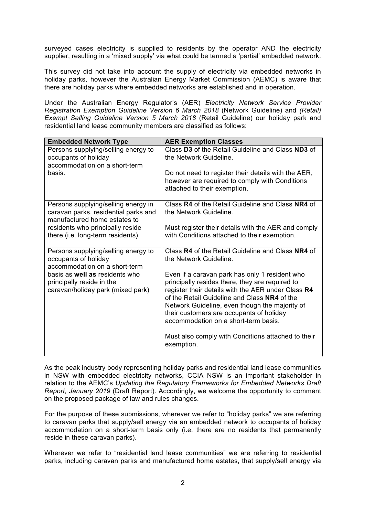surveyed cases electricity is supplied to residents by the operator AND the electricity supplier, resulting in a 'mixed supply' via what could be termed a 'partial' embedded network.

This survey did not take into account the supply of electricity via embedded networks in holiday parks, however the Australian Energy Market Commission (AEMC) is aware that there are holiday parks where embedded networks are established and in operation.

Under the Australian Energy Regulator's (AER) *Electricity Network Service Provider Registration Exemption Guideline Version 6 March 2018* (Network Guideline) and *(Retail) Exempt Selling Guideline Version 5 March 2018* (Retail Guideline) our holiday park and residential land lease community members are classified as follows:

| <b>Embedded Network Type</b>                                                                                | <b>AER Exemption Classes</b>                                                                                                                                                                                                                                                                                                                  |
|-------------------------------------------------------------------------------------------------------------|-----------------------------------------------------------------------------------------------------------------------------------------------------------------------------------------------------------------------------------------------------------------------------------------------------------------------------------------------|
| Persons supplying/selling energy to<br>occupants of holiday<br>accommodation on a short-term                | Class D3 of the Retail Guideline and Class ND3 of<br>the Network Guideline.                                                                                                                                                                                                                                                                   |
| basis.                                                                                                      | Do not need to register their details with the AER,<br>however are required to comply with Conditions<br>attached to their exemption.                                                                                                                                                                                                         |
| Persons supplying/selling energy in<br>caravan parks, residential parks and<br>manufactured home estates to | Class R4 of the Retail Guideline and Class NR4 of<br>the Network Guideline.                                                                                                                                                                                                                                                                   |
| residents who principally reside<br>there (i.e. long-term residents).                                       | Must register their details with the AER and comply<br>with Conditions attached to their exemption.                                                                                                                                                                                                                                           |
| Persons supplying/selling energy to<br>occupants of holiday<br>accommodation on a short-term                | Class R4 of the Retail Guideline and Class NR4 of<br>the Network Guideline.                                                                                                                                                                                                                                                                   |
| basis as well as residents who<br>principally reside in the<br>caravan/holiday park (mixed park)            | Even if a caravan park has only 1 resident who<br>principally resides there, they are required to<br>register their details with the AER under Class R4<br>of the Retail Guideline and Class NR4 of the<br>Network Guideline, even though the majority of<br>their customers are occupants of holiday<br>accommodation on a short-term basis. |
|                                                                                                             | Must also comply with Conditions attached to their<br>exemption.                                                                                                                                                                                                                                                                              |

As the peak industry body representing holiday parks and residential land lease communities in NSW with embedded electricity networks, CCIA NSW is an important stakeholder in relation to the AEMC's *Updating the Regulatory Frameworks for Embedded Networks Draft Report, January 2019* (Draft Report). Accordingly, we welcome the opportunity to comment on the proposed package of law and rules changes.

For the purpose of these submissions, wherever we refer to "holiday parks" we are referring to caravan parks that supply/sell energy via an embedded network to occupants of holiday accommodation on a short-term basis only (i.e. there are no residents that permanently reside in these caravan parks).

Wherever we refer to "residential land lease communities" we are referring to residential parks, including caravan parks and manufactured home estates, that supply/sell energy via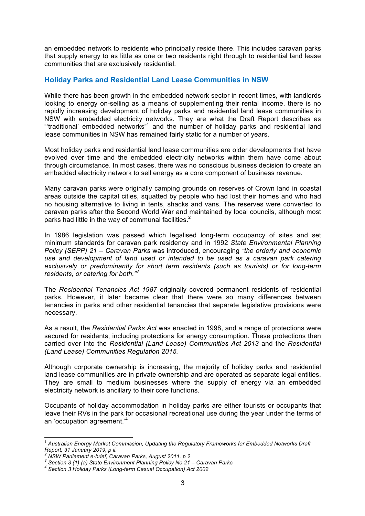an embedded network to residents who principally reside there. This includes caravan parks that supply energy to as little as one or two residents right through to residential land lease communities that are exclusively residential.

# **Holiday Parks and Residential Land Lease Communities in NSW**

While there has been growth in the embedded network sector in recent times, with landlords looking to energy on-selling as a means of supplementing their rental income, there is no rapidly increasing development of holiday parks and residential land lease communities in NSW with embedded electricity networks. They are what the Draft Report describes as "'traditional' embedded networks"<sup>1</sup> and the number of holiday parks and residential land lease communities in NSW has remained fairly static for a number of years.

Most holiday parks and residential land lease communities are older developments that have evolved over time and the embedded electricity networks within them have come about through circumstance. In most cases, there was no conscious business decision to create an embedded electricity network to sell energy as a core component of business revenue.

Many caravan parks were originally camping grounds on reserves of Crown land in coastal areas outside the capital cities, squatted by people who had lost their homes and who had no housing alternative to living in tents, shacks and vans. The reserves were converted to caravan parks after the Second World War and maintained by local councils, although most parks had little in the way of communal facilities. $2$ 

In 1986 legislation was passed which legalised long-term occupancy of sites and set minimum standards for caravan park residency and in 1992 *State Environmental Planning Policy (SEPP) 21 – Caravan Parks* was introduced, encouraging *"the orderly and economic use and development of land used or intended to be used as a caravan park catering exclusively or predominantly for short term residents (such as tourists) or for long-term residents, or catering for both."<sup>3</sup>*

The *Residential Tenancies Act 1987* originally covered permanent residents of residential parks. However, it later became clear that there were so many differences between tenancies in parks and other residential tenancies that separate legislative provisions were necessary.

As a result, the *Residential Parks Act* was enacted in 1998, and a range of protections were secured for residents, including protections for energy consumption. These protections then carried over into the *Residential (Land Lease) Communities Act 2013* and the *Residential (Land Lease) Communities Regulation 2015.*

Although corporate ownership is increasing, the majority of holiday parks and residential land lease communities are in private ownership and are operated as separate legal entities. They are small to medium businesses where the supply of energy via an embedded electricity network is ancillary to their core functions.

Occupants of holiday accommodation in holiday parks are either tourists or occupants that leave their RVs in the park for occasional recreational use during the year under the terms of an 'occupation agreement.'4

*<sup>1</sup> Australian Energy Market Commission, Updating the Regulatory Frameworks for Embedded Networks Draft Report, 31 January 2019, p ii.*

<sup>&</sup>lt;sup>2</sup> NSW Parliament e-brief, Caravan Parks, August 2011, p 2<br><sup>3</sup> Section 3 (1) (a) State Environment Planning Policy No 21 – Caravan Parks<br><sup>4</sup> Section 3 Holiday Parks (Long-term Casual Occupation) Act 2002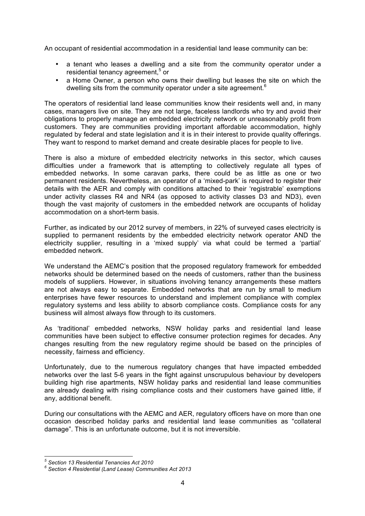An occupant of residential accommodation in a residential land lease community can be:

- a tenant who leases a dwelling and a site from the community operator under a residential tenancy agreement.<sup>5</sup> or
- a Home Owner, a person who owns their dwelling but leases the site on which the dwelling sits from the community operator under a site agreement.<sup>6</sup>

The operators of residential land lease communities know their residents well and, in many cases, managers live on site. They are not large, faceless landlords who try and avoid their obligations to properly manage an embedded electricity network or unreasonably profit from customers. They are communities providing important affordable accommodation, highly regulated by federal and state legislation and it is in their interest to provide quality offerings. They want to respond to market demand and create desirable places for people to live.

There is also a mixture of embedded electricity networks in this sector, which causes difficulties under a framework that is attempting to collectively regulate all types of embedded networks. In some caravan parks, there could be as little as one or two permanent residents. Nevertheless, an operator of a 'mixed-park' is required to register their details with the AER and comply with conditions attached to their 'registrable' exemptions under activity classes R4 and NR4 (as opposed to activity classes D3 and ND3), even though the vast majority of customers in the embedded network are occupants of holiday accommodation on a short-term basis.

Further, as indicated by our 2012 survey of members, in 22% of surveyed cases electricity is supplied to permanent residents by the embedded electricity network operator AND the electricity supplier, resulting in a 'mixed supply' via what could be termed a 'partial' embedded network.

We understand the AEMC's position that the proposed regulatory framework for embedded networks should be determined based on the needs of customers, rather than the business models of suppliers. However, in situations involving tenancy arrangements these matters are not always easy to separate. Embedded networks that are run by small to medium enterprises have fewer resources to understand and implement compliance with complex regulatory systems and less ability to absorb compliance costs. Compliance costs for any business will almost always flow through to its customers.

As 'traditional' embedded networks, NSW holiday parks and residential land lease communities have been subject to effective consumer protection regimes for decades. Any changes resulting from the new regulatory regime should be based on the principles of necessity, fairness and efficiency.

Unfortunately, due to the numerous regulatory changes that have impacted embedded networks over the last 5-6 years in the fight against unscrupulous behaviour by developers building high rise apartments, NSW holiday parks and residential land lease communities are already dealing with rising compliance costs and their customers have gained little, if any, additional benefit.

During our consultations with the AEMC and AER, regulatory officers have on more than one occasion described holiday parks and residential land lease communities as "collateral damage". This is an unfortunate outcome, but it is not irreversible.

*<sup>5</sup> Section 13 Residential Tenancies Act 2010 <sup>6</sup> Section 4 Residential (Land Lease) Communities Act 2013*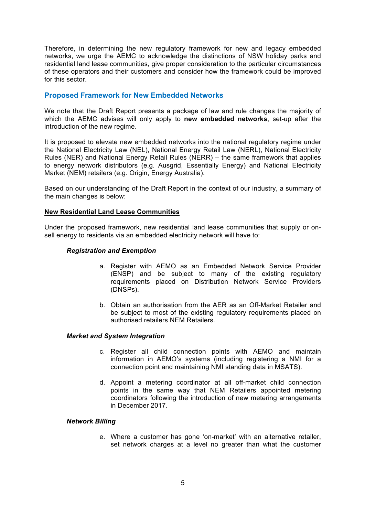Therefore, in determining the new regulatory framework for new and legacy embedded networks, we urge the AEMC to acknowledge the distinctions of NSW holiday parks and residential land lease communities, give proper consideration to the particular circumstances of these operators and their customers and consider how the framework could be improved for this sector.

# **Proposed Framework for New Embedded Networks**

We note that the Draft Report presents a package of law and rule changes the majority of which the AEMC advises will only apply to **new embedded networks**, set-up after the introduction of the new regime.

It is proposed to elevate new embedded networks into the national regulatory regime under the National Electricity Law (NEL), National Energy Retail Law (NERL), National Electricity Rules (NER) and National Energy Retail Rules (NERR) – the same framework that applies to energy network distributors (e.g. Ausgrid, Essentially Energy) and National Electricity Market (NEM) retailers (e.g. Origin, Energy Australia).

Based on our understanding of the Draft Report in the context of our industry, a summary of the main changes is below:

## **New Residential Land Lease Communities**

Under the proposed framework, new residential land lease communities that supply or onsell energy to residents via an embedded electricity network will have to:

### *Registration and Exemption*

- a. Register with AEMO as an Embedded Network Service Provider (ENSP) and be subject to many of the existing regulatory requirements placed on Distribution Network Service Providers (DNSPs).
- b. Obtain an authorisation from the AER as an Off-Market Retailer and be subject to most of the existing regulatory requirements placed on authorised retailers NEM Retailers.

### *Market and System Integration*

- c. Register all child connection points with AEMO and maintain information in AEMO's systems (including registering a NMI for a connection point and maintaining NMI standing data in MSATS).
- d. Appoint a metering coordinator at all off-market child connection points in the same way that NEM Retailers appointed metering coordinators following the introduction of new metering arrangements in December 2017.

### *Network Billing*

e. Where a customer has gone 'on-market' with an alternative retailer, set network charges at a level no greater than what the customer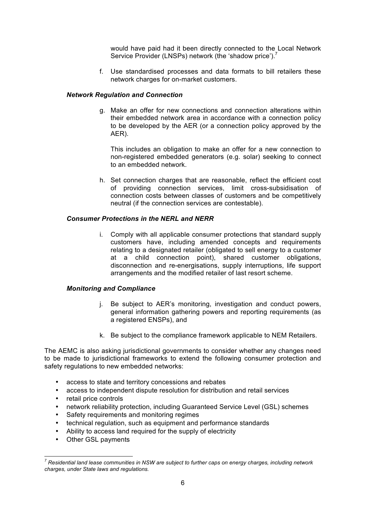would have paid had it been directly connected to the Local Network Service Provider (LNSPs) network (the 'shadow price').<sup>7</sup>

f. Use standardised processes and data formats to bill retailers these network charges for on-market customers.

## *Network Regulation and Connection*

g. Make an offer for new connections and connection alterations within their embedded network area in accordance with a connection policy to be developed by the AER (or a connection policy approved by the AER).

This includes an obligation to make an offer for a new connection to non-registered embedded generators (e.g. solar) seeking to connect to an embedded network.

h. Set connection charges that are reasonable, reflect the efficient cost of providing connection services, limit cross-subsidisation of connection costs between classes of customers and be competitively neutral (if the connection services are contestable).

## *Consumer Protections in the NERL and NERR*

i. Comply with all applicable consumer protections that standard supply customers have, including amended concepts and requirements relating to a designated retailer (obligated to sell energy to a customer at a child connection point), shared customer obligations, disconnection and re-energisations, supply interruptions, life support arrangements and the modified retailer of last resort scheme.

### *Monitoring and Compliance*

- j. Be subject to AER's monitoring, investigation and conduct powers, general information gathering powers and reporting requirements (as a registered ENSPs), and
- k. Be subject to the compliance framework applicable to NEM Retailers.

The AEMC is also asking jurisdictional governments to consider whether any changes need to be made to jurisdictional frameworks to extend the following consumer protection and safety regulations to new embedded networks:

- access to state and territory concessions and rebates
- access to independent dispute resolution for distribution and retail services
- retail price controls
- network reliability protection, including Guaranteed Service Level (GSL) schemes
- Safety requirements and monitoring regimes
- technical regulation, such as equipment and performance standards
- Ability to access land required for the supply of electricity
- Other GSL payments

*<sup>7</sup> Residential land lease communities in NSW are subject to further caps on energy charges, including network charges, under State laws and regulations.*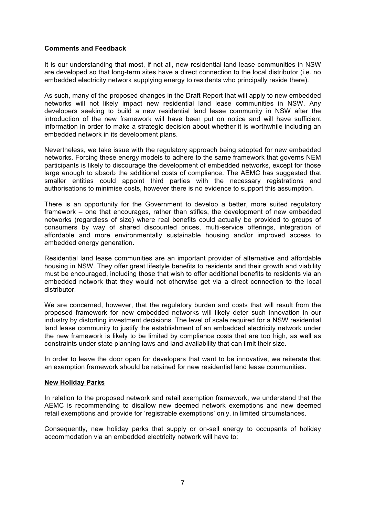# **Comments and Feedback**

It is our understanding that most, if not all, new residential land lease communities in NSW are developed so that long-term sites have a direct connection to the local distributor (i.e. no embedded electricity network supplying energy to residents who principally reside there).

As such, many of the proposed changes in the Draft Report that will apply to new embedded networks will not likely impact new residential land lease communities in NSW. Any developers seeking to build a new residential land lease community in NSW after the introduction of the new framework will have been put on notice and will have sufficient information in order to make a strategic decision about whether it is worthwhile including an embedded network in its development plans.

Nevertheless, we take issue with the regulatory approach being adopted for new embedded networks. Forcing these energy models to adhere to the same framework that governs NEM participants is likely to discourage the development of embedded networks, except for those large enough to absorb the additional costs of compliance. The AEMC has suggested that smaller entities could appoint third parties with the necessary registrations and authorisations to minimise costs, however there is no evidence to support this assumption.

There is an opportunity for the Government to develop a better, more suited regulatory framework – one that encourages, rather than stifles, the development of new embedded networks (regardless of size) where real benefits could actually be provided to groups of consumers by way of shared discounted prices, multi-service offerings, integration of affordable and more environmentally sustainable housing and/or improved access to embedded energy generation.

Residential land lease communities are an important provider of alternative and affordable housing in NSW. They offer great lifestyle benefits to residents and their growth and viability must be encouraged, including those that wish to offer additional benefits to residents via an embedded network that they would not otherwise get via a direct connection to the local distributor.

We are concerned, however, that the regulatory burden and costs that will result from the proposed framework for new embedded networks will likely deter such innovation in our industry by distorting investment decisions. The level of scale required for a NSW residential land lease community to justify the establishment of an embedded electricity network under the new framework is likely to be limited by compliance costs that are too high, as well as constraints under state planning laws and land availability that can limit their size.

In order to leave the door open for developers that want to be innovative, we reiterate that an exemption framework should be retained for new residential land lease communities.

### **New Holiday Parks**

In relation to the proposed network and retail exemption framework, we understand that the AEMC is recommending to disallow new deemed network exemptions and new deemed retail exemptions and provide for 'registrable exemptions' only, in limited circumstances.

Consequently, new holiday parks that supply or on-sell energy to occupants of holiday accommodation via an embedded electricity network will have to: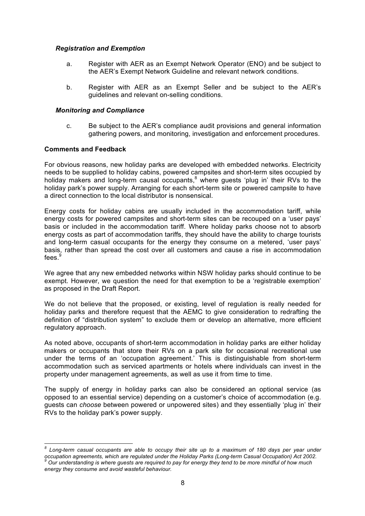## *Registration and Exemption*

- a. Register with AER as an Exempt Network Operator (ENO) and be subject to the AER's Exempt Network Guideline and relevant network conditions.
- b. Register with AER as an Exempt Seller and be subject to the AER's guidelines and relevant on-selling conditions.

## *Monitoring and Compliance*

c. Be subject to the AER's compliance audit provisions and general information gathering powers, and monitoring, investigation and enforcement procedures.

## **Comments and Feedback**

For obvious reasons, new holiday parks are developed with embedded networks. Electricity needs to be supplied to holiday cabins, powered campsites and short-term sites occupied by holiday makers and long-term causal occupants,<sup>8</sup> where guests 'plug in' their RVs to the holiday park's power supply. Arranging for each short-term site or powered campsite to have a direct connection to the local distributor is nonsensical.

Energy costs for holiday cabins are usually included in the accommodation tariff, while energy costs for powered campsites and short-term sites can be recouped on a 'user pays' basis or included in the accommodation tariff. Where holiday parks choose not to absorb energy costs as part of accommodation tariffs, they should have the ability to charge tourists and long-term casual occupants for the energy they consume on a metered, 'user pays' basis, rather than spread the cost over all customers and cause a rise in accommodation fees.<sup>9</sup>

We agree that any new embedded networks within NSW holiday parks should continue to be exempt. However, we question the need for that exemption to be a 'registrable exemption' as proposed in the Draft Report.

We do not believe that the proposed, or existing, level of regulation is really needed for holiday parks and therefore request that the AEMC to give consideration to redrafting the definition of "distribution system" to exclude them or develop an alternative, more efficient regulatory approach.

As noted above, occupants of short-term accommodation in holiday parks are either holiday makers or occupants that store their RVs on a park site for occasional recreational use under the terms of an 'occupation agreement.' This is distinguishable from short-term accommodation such as serviced apartments or hotels where individuals can invest in the property under management agreements, as well as use it from time to time.

The supply of energy in holiday parks can also be considered an optional service (as opposed to an essential service) depending on a customer's choice of accommodation (e.g. guests can *choose* between powered or unpowered sites) and they essentially 'plug in' their RVs to the holiday park's power supply.

*<sup>8</sup> Long-term casual occupants are able to occupy their site up to a maximum of 180 days per year under*  occupation agreements, which are regulated under the Holiday Parks (Long-term Casual Occupation) Act 2002.<br>.002 Our understanding is where quests are required to pay for energy they tend to be more mindful of how much *energy they consume and avoid wasteful behaviour.*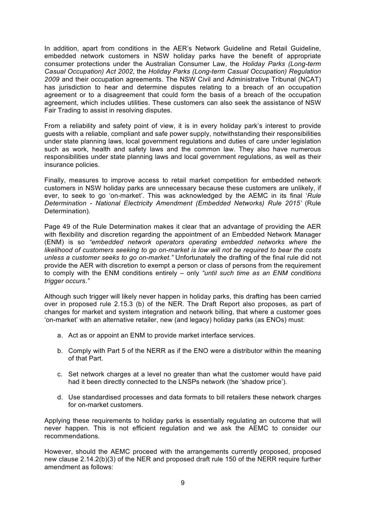In addition, apart from conditions in the AER's Network Guideline and Retail Guideline, embedded network customers in NSW holiday parks have the benefit of appropriate consumer protections under the Australian Consumer Law, the *Holiday Parks (Long-term Casual Occupation) Act 2002*, the *Holiday Parks (Long-term Casual Occupation) Regulation 2009* and their occupation agreements. The NSW Civil and Administrative Tribunal (NCAT) has jurisdiction to hear and determine disputes relating to a breach of an occupation agreement or to a disagreement that could form the basis of a breach of the occupation agreement, which includes utilities. These customers can also seek the assistance of NSW Fair Trading to assist in resolving disputes.

From a reliability and safety point of view, it is in every holiday park's interest to provide guests with a reliable, compliant and safe power supply, notwithstanding their responsibilities under state planning laws, local government regulations and duties of care under legislation such as work, health and safety laws and the common law. They also have numerous responsibilities under state planning laws and local government regulations, as well as their insurance policies.

Finally, measures to improve access to retail market competition for embedded network customers in NSW holiday parks are unnecessary because these customers are unlikely, if ever, to seek to go 'on-market'. This was acknowledged by the AEMC in its final '*Rule Determination - National Electricity Amendment (Embedded Networks) Rule 2015'* (Rule Determination).

Page 49 of the Rule Determination makes it clear that an advantage of providing the AER with flexibility and discretion regarding the appointment of an Embedded Network Manager (ENM) is so *"embedded network operators operating embedded networks where the likelihood of customers seeking to go on-market is low will not be required to bear the costs unless a customer seeks to go on-market."* Unfortunately the drafting of the final rule did not provide the AER with discretion to exempt a person or class of persons from the requirement to comply with the ENM conditions entirely – only *"until such time as an ENM conditions trigger occurs*.*"*

Although such trigger will likely never happen in holiday parks, this drafting has been carried over in proposed rule 2.15.3 (b) of the NER. The Draft Report also proposes, as part of changes for market and system integration and network billing, that where a customer goes 'on-market' with an alternative retailer, new (and legacy) holiday parks (as ENOs) must:

- a. Act as or appoint an ENM to provide market interface services.
- b. Comply with Part 5 of the NERR as if the ENO were a distributor within the meaning of that Part.
- c. Set network charges at a level no greater than what the customer would have paid had it been directly connected to the LNSPs network (the 'shadow price').
- d. Use standardised processes and data formats to bill retailers these network charges for on-market customers.

Applying these requirements to holiday parks is essentially regulating an outcome that will never happen. This is not efficient regulation and we ask the AEMC to consider our recommendations.

However, should the AEMC proceed with the arrangements currently proposed, proposed new clause 2.14.2(b)(3) of the NER and proposed draft rule 150 of the NERR require further amendment as follows: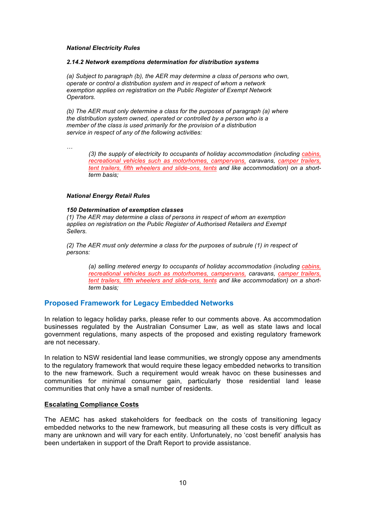#### *National Electricity Rules*

#### *2.14.2 Network exemptions determination for distribution systems*

*(a) Subject to paragraph (b), the AER may determine a class of persons who own, operate or control a distribution system and in respect of whom a network exemption applies on registration on the Public Register of Exempt Network Operators.*

*(b) The AER must only determine a class for the purposes of paragraph (a) where the distribution system owned, operated or controlled by a person who is a member of the class is used primarily for the provision of a distribution service in respect of any of the following activities:*

*…*

*(3) the supply of electricity to occupants of holiday accommodation (including cabins, recreational vehicles such as motorhomes, campervans, caravans, camper trailers, tent trailers, fifth wheelers and slide-ons, tents and like accommodation) on a shortterm basis;*

#### *National Energy Retail Rules*

#### *150 Determination of exemption classes*

*(1) The AER may determine a class of persons in respect of whom an exemption applies on registration on the Public Register of Authorised Retailers and Exempt Sellers.*

*(2) The AER must only determine a class for the purposes of subrule (1) in respect of persons:*

*(a) selling metered energy to occupants of holiday accommodation (including cabins, recreational vehicles such as motorhomes, campervans, caravans, camper trailers, tent trailers, fifth wheelers and slide-ons, tents and like accommodation) on a shortterm basis;*

# **Proposed Framework for Legacy Embedded Networks**

In relation to legacy holiday parks, please refer to our comments above. As accommodation businesses regulated by the Australian Consumer Law, as well as state laws and local government regulations, many aspects of the proposed and existing regulatory framework are not necessary.

In relation to NSW residential land lease communities, we strongly oppose any amendments to the regulatory framework that would require these legacy embedded networks to transition to the new framework. Such a requirement would wreak havoc on these businesses and communities for minimal consumer gain, particularly those residential land lease communities that only have a small number of residents.

### **Escalating Compliance Costs**

The AEMC has asked stakeholders for feedback on the costs of transitioning legacy embedded networks to the new framework, but measuring all these costs is very difficult as many are unknown and will vary for each entity. Unfortunately, no 'cost benefit' analysis has been undertaken in support of the Draft Report to provide assistance.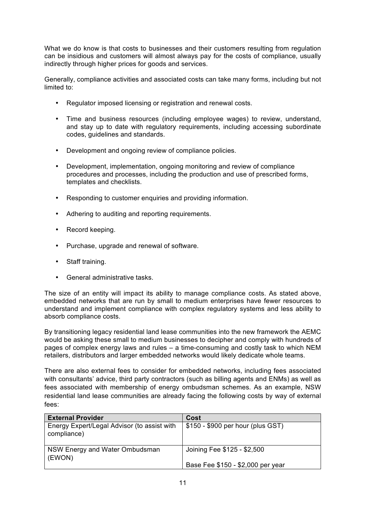What we do know is that costs to businesses and their customers resulting from regulation can be insidious and customers will almost always pay for the costs of compliance, usually indirectly through higher prices for goods and services.

Generally, compliance activities and associated costs can take many forms, including but not limited to:

- Regulator imposed licensing or registration and renewal costs.
- Time and business resources (including employee wages) to review, understand, and stay up to date with regulatory requirements, including accessing subordinate codes, guidelines and standards.
- Development and ongoing review of compliance policies.
- Development, implementation, ongoing monitoring and review of compliance procedures and processes, including the production and use of prescribed forms, templates and checklists.
- Responding to customer enquiries and providing information.
- Adhering to auditing and reporting requirements.
- Record keeping.
- Purchase, upgrade and renewal of software.
- Staff training.
- General administrative tasks.

The size of an entity will impact its ability to manage compliance costs. As stated above, embedded networks that are run by small to medium enterprises have fewer resources to understand and implement compliance with complex regulatory systems and less ability to absorb compliance costs.

By transitioning legacy residential land lease communities into the new framework the AEMC would be asking these small to medium businesses to decipher and comply with hundreds of pages of complex energy laws and rules – a time-consuming and costly task to which NEM retailers, distributors and larger embedded networks would likely dedicate whole teams.

There are also external fees to consider for embedded networks, including fees associated with consultants' advice, third party contractors (such as billing agents and ENMs) as well as fees associated with membership of energy ombudsman schemes. As an example, NSW residential land lease communities are already facing the following costs by way of external fees:

| <b>External Provider</b>                                   | Cost                                                             |
|------------------------------------------------------------|------------------------------------------------------------------|
| Energy Expert/Legal Advisor (to assist with<br>compliance) | $$150 - $900$ per hour (plus GST)                                |
| NSW Energy and Water Ombudsman<br>(EWON)                   | Joining Fee \$125 - \$2,500<br>Base Fee \$150 - \$2,000 per year |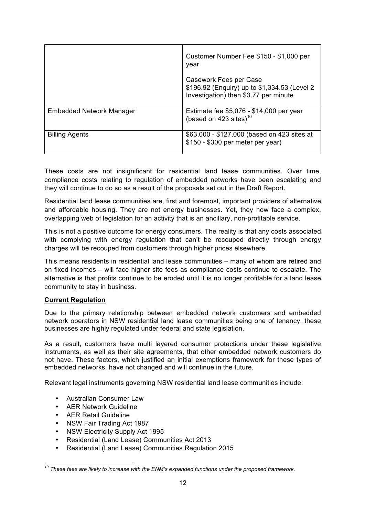|                          | Customer Number Fee \$150 - \$1,000 per<br>year                                                                 |
|--------------------------|-----------------------------------------------------------------------------------------------------------------|
|                          | Casework Fees per Case<br>\$196.92 (Enquiry) up to \$1,334.53 (Level 2<br>Investigation) then \$3.77 per minute |
| Embedded Network Manager | Estimate fee \$5,076 - \$14,000 per year<br>(based on 423 sites) $10$                                           |
| <b>Billing Agents</b>    | \$63,000 - \$127,000 (based on 423 sites at<br>\$150 - \$300 per meter per year)                                |

These costs are not insignificant for residential land lease communities. Over time, compliance costs relating to regulation of embedded networks have been escalating and they will continue to do so as a result of the proposals set out in the Draft Report.

Residential land lease communities are, first and foremost, important providers of alternative and affordable housing. They are not energy businesses. Yet, they now face a complex, overlapping web of legislation for an activity that is an ancillary, non-profitable service.

This is not a positive outcome for energy consumers. The reality is that any costs associated with complying with energy regulation that can't be recouped directly through energy charges will be recouped from customers through higher prices elsewhere.

This means residents in residential land lease communities – many of whom are retired and on fixed incomes – will face higher site fees as compliance costs continue to escalate. The alternative is that profits continue to be eroded until it is no longer profitable for a land lease community to stay in business.

# **Current Regulation**

Due to the primary relationship between embedded network customers and embedded network operators in NSW residential land lease communities being one of tenancy, these businesses are highly regulated under federal and state legislation.

As a result, customers have multi layered consumer protections under these legislative instruments, as well as their site agreements, that other embedded network customers do not have. These factors, which justified an initial exemptions framework for these types of embedded networks, have not changed and will continue in the future.

Relevant legal instruments governing NSW residential land lease communities include:

- Australian Consumer Law
- AER Network Guideline
- AER Retail Guideline
- NSW Fair Trading Act 1987
- NSW Electricity Supply Act 1995
- Residential (Land Lease) Communities Act 2013
- Residential (Land Lease) Communities Regulation 2015

*<sup>10</sup> These fees are likely to increase with the ENM's expanded functions under the proposed framework.*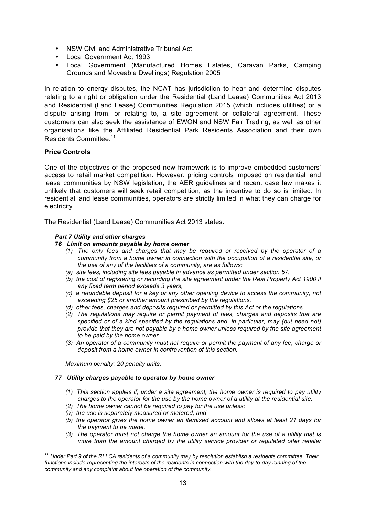- NSW Civil and Administrative Tribunal Act
- Local Government Act 1993
- Local Government (Manufactured Homes Estates, Caravan Parks, Camping Grounds and Moveable Dwellings) Regulation 2005

In relation to energy disputes, the NCAT has jurisdiction to hear and determine disputes relating to a right or obligation under the Residential (Land Lease) Communities Act 2013 and Residential (Land Lease) Communities Regulation 2015 (which includes utilities) or a dispute arising from, or relating to, a site agreement or collateral agreement. These customers can also seek the assistance of EWON and NSW Fair Trading, as well as other organisations like the Affiliated Residential Park Residents Association and their own Residents Committee.<sup>11</sup>

# **Price Controls**

One of the objectives of the proposed new framework is to improve embedded customers' access to retail market competition. However, pricing controls imposed on residential land lease communities by NSW legislation, the AER guidelines and recent case law makes it unlikely that customers will seek retail competition, as the incentive to do so is limited. In residential land lease communities, operators are strictly limited in what they can charge for electricity.

The Residential (Land Lease) Communities Act 2013 states:

# *Part 7 Utility and other charges*

# *76 Limit on amounts payable by home owner*

- *(1) The only fees and charges that may be required or received by the operator of a community from a home owner in connection with the occupation of a residential site, or the use of any of the facilities of a community, are as follows:*
- *(a) site fees, including site fees payable in advance as permitted under section 57,*
- *(b) the cost of registering or recording the site agreement under the Real Property Act 1900 if any fixed term period exceeds 3 years,*
- *(c) a refundable deposit for a key or any other opening device to access the community, not exceeding \$25 or another amount prescribed by the regulations,*
- *(d) other fees, charges and deposits required or permitted by this Act or the regulations.*
- *(2) The regulations may require or permit payment of fees, charges and deposits that are*  specified or of a kind specified by the regulations and, in particular, may (but need not) *provide that they are not payable by a home owner unless required by the site agreement to be paid by the home owner.*
- *(3) An operator of a community must not require or permit the payment of any fee, charge or deposit from a home owner in contravention of this section.*

*Maximum penalty: 20 penalty units.*

### *77 Utility charges payable to operator by home owner*

- *(1) This section applies if, under a site agreement, the home owner is required to pay utility charges to the operator for the use by the home owner of a utility at the residential site.*
- *(2) The home owner cannot be required to pay for the use unless:*
- *(a) the use is separately measured or metered, and*
- *(b) the operator gives the home owner an itemised account and allows at least 21 days for the payment to be made.*
- *(3) The operator must not charge the home owner an amount for the use of a utility that is more than the amount charged by the utility service provider or regulated offer retailer*

*<sup>11</sup> Under Part 9 of the RLLCA residents of a community may by resolution establish a residents committee. Their*  functions include representing the interests of the residents in connection with the day-to-day running of the *community and any complaint about the operation of the community.*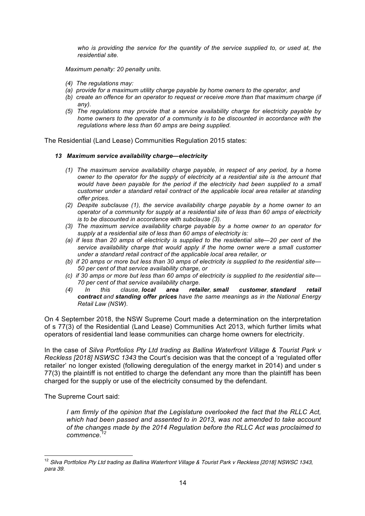*who is providing the service for the quantity of the service supplied to, or used at, the residential site.*

*Maximum penalty: 20 penalty units.*

- *(4) The regulations may:*
- *(a) provide for a maximum utility charge payable by home owners to the operator, and*
- *(b) create an offence for an operator to request or receive more than that maximum charge (if any).*
- *(5) The regulations may provide that a service availability charge for electricity payable by home owners to the operator of a community is to be discounted in accordance with the regulations where less than 60 amps are being supplied.*

The Residential (Land Lease) Communities Regulation 2015 states:

#### *13 Maximum service availability charge—electricity*

- *(1) The maximum service availability charge payable, in respect of any period, by a home owner to the operator for the supply of electricity at a residential site is the amount that*  would have been payable for the period if the electricity had been supplied to a small *customer under a standard retail contract of the applicable local area retailer at standing offer prices.*
- *(2) Despite subclause (1), the service availability charge payable by a home owner to an operator of a community for supply at a residential site of less than 60 amps of electricity is to be discounted in accordance with subclause (3).*
- *(3) The maximum service availability charge payable by a home owner to an operator for supply at a residential site of less than 60 amps of electricity is:*
- *(a) if less than 20 amps of electricity is supplied to the residential site—20 per cent of the service availability charge that would apply if the home owner were a small customer under a standard retail contract of the applicable local area retailer, or*
- *(b) if 20 amps or more but less than 30 amps of electricity is supplied to the residential site— 50 per cent of that service availability charge, or*
- *(c) if 30 amps or more but less than 60 amps of electricity is supplied to the residential site— 70 per cent of that service availability charge.*
- *(4) In this clause, local area retailer, small customer, standard retail contract and standing offer prices have the same meanings as in the National Energy Retail Law (NSW).*

On 4 September 2018, the NSW Supreme Court made a determination on the interpretation of s 77(3) of the Residential (Land Lease) Communities Act 2013, which further limits what operators of residential land lease communities can charge home owners for electricity.

In the case of *Silva Portfolios Pty Ltd trading as Ballina Waterfront Village & Tourist Park v Reckless [2018] NSWSC 1343* the Court's decision was that the concept of a 'regulated offer retailer' no longer existed (following deregulation of the energy market in 2014) and under s 77(3) the plaintiff is not entitled to charge the defendant any more than the plaintiff has been charged for the supply or use of the electricity consumed by the defendant.

The Supreme Court said:

*I am firmly of the opinion that the Legislature overlooked the fact that the RLLC Act, which had been passed and assented to in 2013, was not amended to take account of the changes made by the 2014 Regulation before the RLLC Act was proclaimed to*   $commence<sup>2</sup>$ 

 $^{12}$  Silva Portfolios Pty Ltd trading as Ballina Waterfront Village & Tourist Park v Reckless [2018] NSWSC 1343, para 39.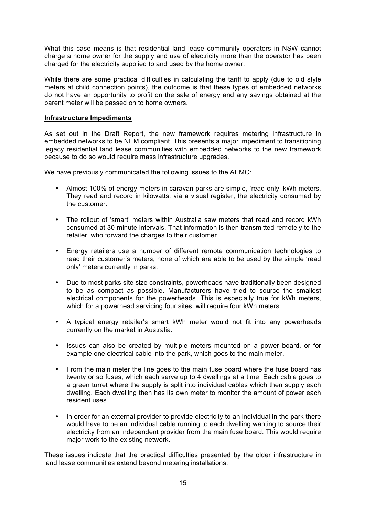What this case means is that residential land lease community operators in NSW cannot charge a home owner for the supply and use of electricity more than the operator has been charged for the electricity supplied to and used by the home owner.

While there are some practical difficulties in calculating the tariff to apply (due to old style meters at child connection points), the outcome is that these types of embedded networks do not have an opportunity to profit on the sale of energy and any savings obtained at the parent meter will be passed on to home owners.

# **Infrastructure Impediments**

As set out in the Draft Report, the new framework requires metering infrastructure in embedded networks to be NEM compliant. This presents a major impediment to transitioning legacy residential land lease communities with embedded networks to the new framework because to do so would require mass infrastructure upgrades.

We have previously communicated the following issues to the AEMC:

- Almost 100% of energy meters in caravan parks are simple, 'read only' kWh meters. They read and record in kilowatts, via a visual register, the electricity consumed by the customer.
- The rollout of 'smart' meters within Australia saw meters that read and record kWh consumed at 30-minute intervals. That information is then transmitted remotely to the retailer, who forward the charges to their customer.
- Energy retailers use a number of different remote communication technologies to read their customer's meters, none of which are able to be used by the simple 'read only' meters currently in parks.
- Due to most parks site size constraints, powerheads have traditionally been designed to be as compact as possible. Manufacturers have tried to source the smallest electrical components for the powerheads. This is especially true for kWh meters, which for a powerhead servicing four sites, will require four kWh meters.
- A typical energy retailer's smart kWh meter would not fit into any powerheads currently on the market in Australia.
- Issues can also be created by multiple meters mounted on a power board, or for example one electrical cable into the park, which goes to the main meter.
- From the main meter the line goes to the main fuse board where the fuse board has twenty or so fuses, which each serve up to 4 dwellings at a time. Each cable goes to a green turret where the supply is split into individual cables which then supply each dwelling. Each dwelling then has its own meter to monitor the amount of power each resident uses.
- In order for an external provider to provide electricity to an individual in the park there would have to be an individual cable running to each dwelling wanting to source their electricity from an independent provider from the main fuse board. This would require major work to the existing network.

These issues indicate that the practical difficulties presented by the older infrastructure in land lease communities extend beyond metering installations.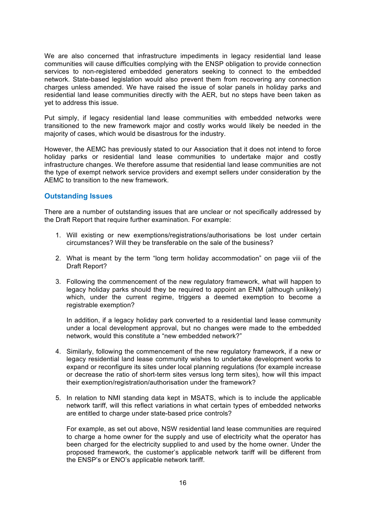We are also concerned that infrastructure impediments in legacy residential land lease communities will cause difficulties complying with the ENSP obligation to provide connection services to non-registered embedded generators seeking to connect to the embedded network. State-based legislation would also prevent them from recovering any connection charges unless amended. We have raised the issue of solar panels in holiday parks and residential land lease communities directly with the AER, but no steps have been taken as yet to address this issue.

Put simply, if legacy residential land lease communities with embedded networks were transitioned to the new framework major and costly works would likely be needed in the majority of cases, which would be disastrous for the industry.

However, the AEMC has previously stated to our Association that it does not intend to force holiday parks or residential land lease communities to undertake major and costly infrastructure changes. We therefore assume that residential land lease communities are not the type of exempt network service providers and exempt sellers under consideration by the AEMC to transition to the new framework.

# **Outstanding Issues**

There are a number of outstanding issues that are unclear or not specifically addressed by the Draft Report that require further examination. For example:

- 1. Will existing or new exemptions/registrations/authorisations be lost under certain circumstances? Will they be transferable on the sale of the business?
- 2. What is meant by the term "long term holiday accommodation" on page viii of the Draft Report?
- 3. Following the commencement of the new regulatory framework, what will happen to legacy holiday parks should they be required to appoint an ENM (although unlikely) which, under the current regime, triggers a deemed exemption to become a registrable exemption?

In addition, if a legacy holiday park converted to a residential land lease community under a local development approval, but no changes were made to the embedded network, would this constitute a "new embedded network?"

- 4. Similarly, following the commencement of the new regulatory framework, if a new or legacy residential land lease community wishes to undertake development works to expand or reconfigure its sites under local planning regulations (for example increase or decrease the ratio of short-term sites versus long term sites), how will this impact their exemption/registration/authorisation under the framework?
- 5. In relation to NMI standing data kept in MSATS, which is to include the applicable network tariff, will this reflect variations in what certain types of embedded networks are entitled to charge under state-based price controls?

For example, as set out above, NSW residential land lease communities are required to charge a home owner for the supply and use of electricity what the operator has been charged for the electricity supplied to and used by the home owner. Under the proposed framework, the customer's applicable network tariff will be different from the ENSP's or ENO's applicable network tariff.